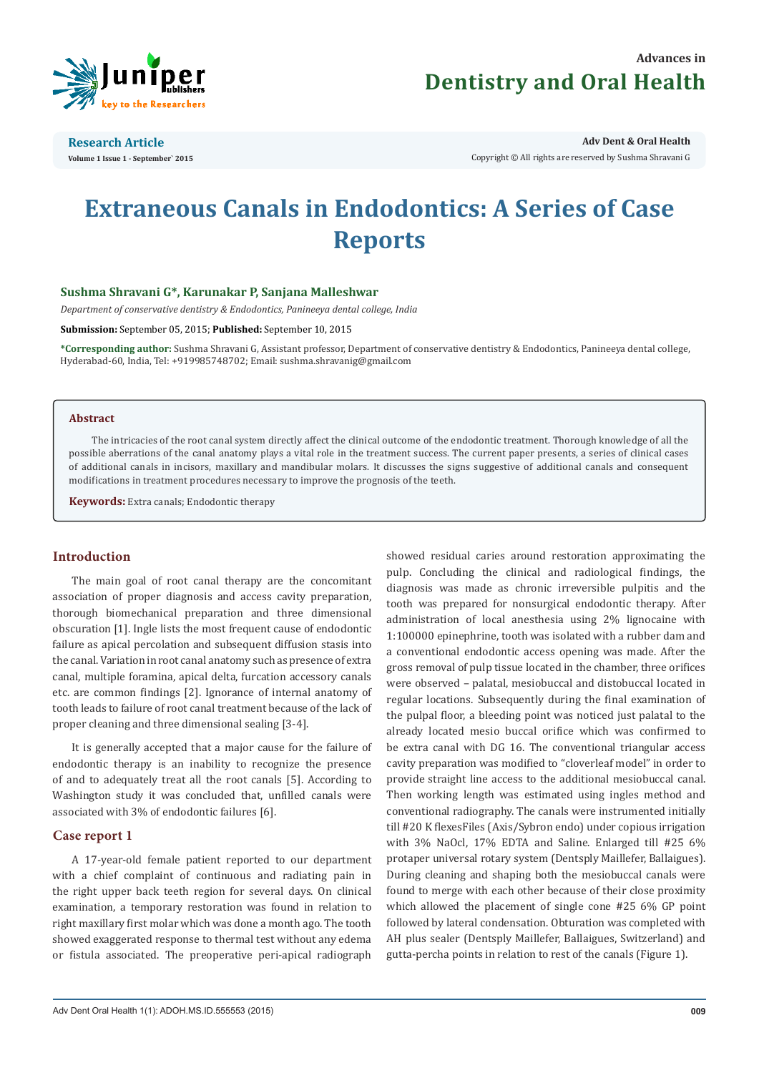

**Research Article Volume 1 Issue 1 - September` 2015** **Adv Dent & Oral Health** 

Copyright © All rights are reserved by Sushma Shravani G

# **Extraneous Canals in Endodontics: A Series of Case Reports**

# **Sushma Shravani G\*, Karunakar P, Sanjana Malleshwar**

*Department of conservative dentistry & Endodontics, Panineeya dental college, India*

**Submission:** September 05, 2015; **Published:** September 10, 2015

**\*Corresponding author:** Sushma Shravani G, Assistant professor, Department of conservative dentistry & Endodontics, Panineeya dental college, Hyderabad-60, India, Tel: +919985748702; Email: sushma.shravanig@gmail.com

## **Abstract**

The intricacies of the root canal system directly affect the clinical outcome of the endodontic treatment. Thorough knowledge of all the possible aberrations of the canal anatomy plays a vital role in the treatment success. The current paper presents, a series of clinical cases of additional canals in incisors, maxillary and mandibular molars. It discusses the signs suggestive of additional canals and consequent modifications in treatment procedures necessary to improve the prognosis of the teeth.

**Keywords:** Extra canals; Endodontic therapy

# **Introduction**

The main goal of root canal therapy are the concomitant association of proper diagnosis and access cavity preparation, thorough biomechanical preparation and three dimensional obscuration [1]. Ingle lists the most frequent cause of endodontic failure as apical percolation and subsequent diffusion stasis into the canal. Variation in root canal anatomy such as presence of extra canal, multiple foramina, apical delta, furcation accessory canals etc. are common findings [2]. Ignorance of internal anatomy of tooth leads to failure of root canal treatment because of the lack of proper cleaning and three dimensional sealing [3-4].

It is generally accepted that a major cause for the failure of endodontic therapy is an inability to recognize the presence of and to adequately treat all the root canals [5]. According to Washington study it was concluded that, unfilled canals were associated with 3% of endodontic failures [6].

## **Case report 1**

A 17-year-old female patient reported to our department with a chief complaint of continuous and radiating pain in the right upper back teeth region for several days. On clinical examination, a temporary restoration was found in relation to right maxillary first molar which was done a month ago. The tooth showed exaggerated response to thermal test without any edema or fistula associated. The preoperative peri-apical radiograph showed residual caries around restoration approximating the pulp. Concluding the clinical and radiological findings, the diagnosis was made as chronic irreversible pulpitis and the tooth was prepared for nonsurgical endodontic therapy. After administration of local anesthesia using 2% lignocaine with 1:100000 epinephrine, tooth was isolated with a rubber dam and a conventional endodontic access opening was made. After the gross removal of pulp tissue located in the chamber, three orifices were observed – palatal, mesiobuccal and distobuccal located in regular locations. Subsequently during the final examination of the pulpal floor, a bleeding point was noticed just palatal to the already located mesio buccal orifice which was confirmed to be extra canal with DG 16. The conventional triangular access cavity preparation was modified to "cloverleaf model" in order to provide straight line access to the additional mesiobuccal canal. Then working length was estimated using ingles method and conventional radiography. The canals were instrumented initially till #20 K flexesFiles (Axis/Sybron endo) under copious irrigation with 3% NaOcl, 17% EDTA and Saline. Enlarged till #25 6% protaper universal rotary system (Dentsply Maillefer, Ballaigues). During cleaning and shaping both the mesiobuccal canals were found to merge with each other because of their close proximity which allowed the placement of single cone #25 6% GP point followed by lateral condensation. Obturation was completed with AH plus sealer (Dentsply Maillefer, Ballaigues, Switzerland) and gutta-percha points in relation to rest of the canals (Figure 1).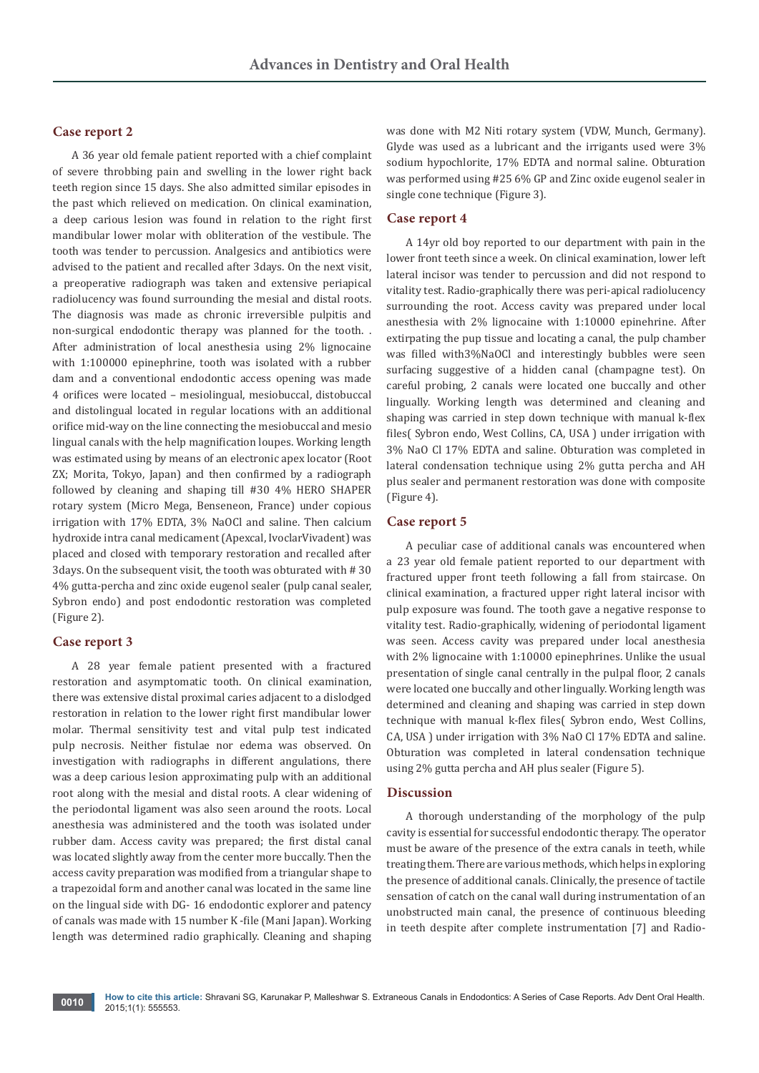# **Case report 2**

A 36 year old female patient reported with a chief complaint of severe throbbing pain and swelling in the lower right back teeth region since 15 days. She also admitted similar episodes in the past which relieved on medication. On clinical examination, a deep carious lesion was found in relation to the right first mandibular lower molar with obliteration of the vestibule. The tooth was tender to percussion. Analgesics and antibiotics were advised to the patient and recalled after 3days. On the next visit, a preoperative radiograph was taken and extensive periapical radiolucency was found surrounding the mesial and distal roots. The diagnosis was made as chronic irreversible pulpitis and non-surgical endodontic therapy was planned for the tooth. . After administration of local anesthesia using 2% lignocaine with 1:100000 epinephrine, tooth was isolated with a rubber dam and a conventional endodontic access opening was made 4 orifices were located – mesiolingual, mesiobuccal, distobuccal and distolingual located in regular locations with an additional orifice mid-way on the line connecting the mesiobuccal and mesio lingual canals with the help magnification loupes. Working length was estimated using by means of an electronic apex locator (Root ZX; Morita, Tokyo, Japan) and then confirmed by a radiograph followed by cleaning and shaping till #30 4% HERO SHAPER rotary system (Micro Mega, Benseneon, France) under copious irrigation with 17% EDTA, 3% NaOCl and saline. Then calcium hydroxide intra canal medicament (Apexcal, IvoclarVivadent) was placed and closed with temporary restoration and recalled after 3days. On the subsequent visit, the tooth was obturated with # 30 4% gutta-percha and zinc oxide eugenol sealer (pulp canal sealer, Sybron endo) and post endodontic restoration was completed (Figure 2).

## **Case report 3**

A 28 year female patient presented with a fractured restoration and asymptomatic tooth. On clinical examination, there was extensive distal proximal caries adjacent to a dislodged restoration in relation to the lower right first mandibular lower molar. Thermal sensitivity test and vital pulp test indicated pulp necrosis. Neither fistulae nor edema was observed. On investigation with radiographs in different angulations, there was a deep carious lesion approximating pulp with an additional root along with the mesial and distal roots. A clear widening of the periodontal ligament was also seen around the roots. Local anesthesia was administered and the tooth was isolated under rubber dam. Access cavity was prepared; the first distal canal was located slightly away from the center more buccally. Then the access cavity preparation was modified from a triangular shape to a trapezoidal form and another canal was located in the same line on the lingual side with DG- 16 endodontic explorer and patency of canals was made with 15 number K -file (Mani Japan). Working length was determined radio graphically. Cleaning and shaping

was done with M2 Niti rotary system (VDW, Munch, Germany). Glyde was used as a lubricant and the irrigants used were 3% sodium hypochlorite, 17% EDTA and normal saline. Obturation was performed using #25 6% GP and Zinc oxide eugenol sealer in single cone technique (Figure 3).

#### **Case report 4**

A 14yr old boy reported to our department with pain in the lower front teeth since a week. On clinical examination, lower left lateral incisor was tender to percussion and did not respond to vitality test. Radio-graphically there was peri-apical radiolucency surrounding the root. Access cavity was prepared under local anesthesia with 2% lignocaine with 1:10000 epinehrine. After extirpating the pup tissue and locating a canal, the pulp chamber was filled with3%NaOCl and interestingly bubbles were seen surfacing suggestive of a hidden canal (champagne test). On careful probing, 2 canals were located one buccally and other lingually. Working length was determined and cleaning and shaping was carried in step down technique with manual k-flex files( Sybron endo, West Collins, CA, USA ) under irrigation with 3% NaO Cl 17% EDTA and saline. Obturation was completed in lateral condensation technique using 2% gutta percha and AH plus sealer and permanent restoration was done with composite (Figure 4).

#### **Case report 5**

A peculiar case of additional canals was encountered when a 23 year old female patient reported to our department with fractured upper front teeth following a fall from staircase. On clinical examination, a fractured upper right lateral incisor with pulp exposure was found. The tooth gave a negative response to vitality test. Radio-graphically, widening of periodontal ligament was seen. Access cavity was prepared under local anesthesia with 2% lignocaine with 1:10000 epinephrines. Unlike the usual presentation of single canal centrally in the pulpal floor, 2 canals were located one buccally and other lingually. Working length was determined and cleaning and shaping was carried in step down technique with manual k-flex files( Sybron endo, West Collins, CA, USA ) under irrigation with 3% NaO Cl 17% EDTA and saline. Obturation was completed in lateral condensation technique using 2% gutta percha and AH plus sealer (Figure 5).

#### **Discussion**

A thorough understanding of the morphology of the pulp cavity is essential for successful endodontic therapy. The operator must be aware of the presence of the extra canals in teeth, while treating them. There are various methods, which helps in exploring the presence of additional canals. Clinically, the presence of tactile sensation of catch on the canal wall during instrumentation of an unobstructed main canal, the presence of continuous bleeding in teeth despite after complete instrumentation [7] and Radio